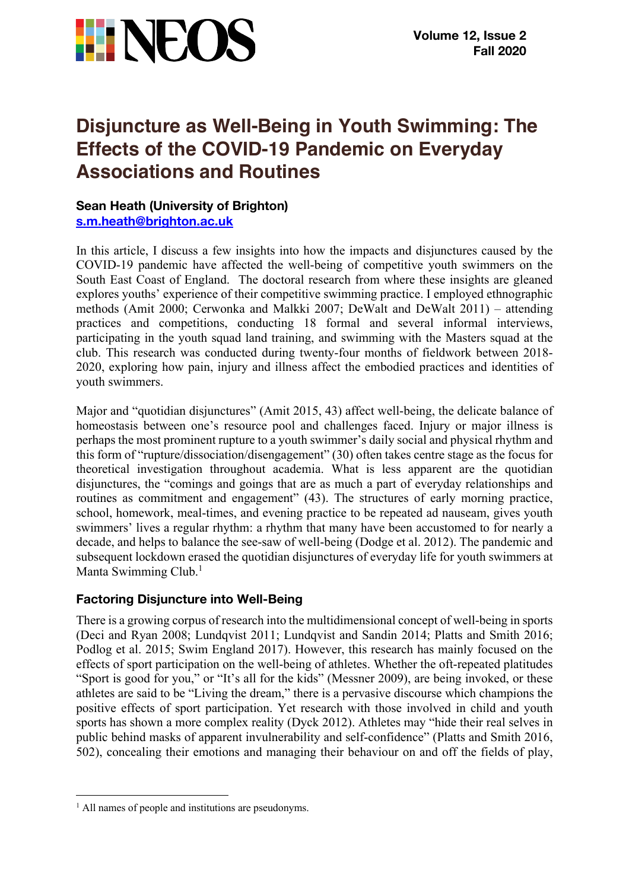

# **Disjuncture as Well-Being in Youth Swimming: The Effects of the COVID-19 Pandemic on Everyday Associations and Routines**

### **Sean Heath (University of Brighton) s.m.heath@brighton.ac.uk**

In this article, I discuss a few insights into how the impacts and disjunctures caused by the COVID-19 pandemic have affected the well-being of competitive youth swimmers on the South East Coast of England. The doctoral research from where these insights are gleaned explores youths' experience of their competitive swimming practice. I employed ethnographic methods (Amit 2000; Cerwonka and Malkki 2007; DeWalt and DeWalt 2011) – attending practices and competitions, conducting 18 formal and several informal interviews, participating in the youth squad land training, and swimming with the Masters squad at the club. This research was conducted during twenty-four months of fieldwork between 2018- 2020, exploring how pain, injury and illness affect the embodied practices and identities of youth swimmers.

Major and "quotidian disjunctures" (Amit 2015, 43) affect well-being, the delicate balance of homeostasis between one's resource pool and challenges faced. Injury or major illness is perhaps the most prominent rupture to a youth swimmer's daily social and physical rhythm and this form of "rupture/dissociation/disengagement" (30) often takes centre stage as the focus for theoretical investigation throughout academia. What is less apparent are the quotidian disjunctures, the "comings and goings that are as much a part of everyday relationships and routines as commitment and engagement" (43). The structures of early morning practice, school, homework, meal-times, and evening practice to be repeated ad nauseam, gives youth swimmers' lives a regular rhythm: a rhythm that many have been accustomed to for nearly a decade, and helps to balance the see-saw of well-being (Dodge et al. 2012). The pandemic and subsequent lockdown erased the quotidian disjunctures of everyday life for youth swimmers at Manta Swimming Club.<sup>1</sup>

# **Factoring Disjuncture into Well-Being**

There is a growing corpus of research into the multidimensional concept of well-being in sports (Deci and Ryan 2008; Lundqvist 2011; Lundqvist and Sandin 2014; Platts and Smith 2016; Podlog et al. 2015; Swim England 2017). However, this research has mainly focused on the effects of sport participation on the well-being of athletes. Whether the oft-repeated platitudes "Sport is good for you," or "It's all for the kids" (Messner 2009), are being invoked, or these athletes are said to be "Living the dream," there is a pervasive discourse which champions the positive effects of sport participation. Yet research with those involved in child and youth sports has shown a more complex reality (Dyck 2012). Athletes may "hide their real selves in public behind masks of apparent invulnerability and self-confidence" (Platts and Smith 2016, 502), concealing their emotions and managing their behaviour on and off the fields of play,

<sup>&</sup>lt;sup>1</sup> All names of people and institutions are pseudonyms.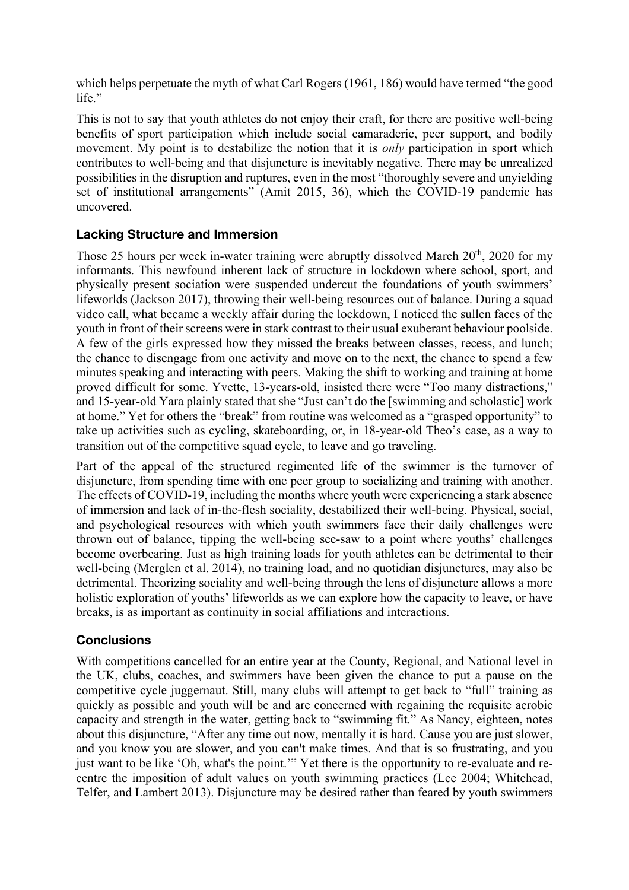which helps perpetuate the myth of what Carl Rogers (1961, 186) would have termed "the good life."

This is not to say that youth athletes do not enjoy their craft, for there are positive well-being benefits of sport participation which include social camaraderie, peer support, and bodily movement. My point is to destabilize the notion that it is *only* participation in sport which contributes to well-being and that disjuncture is inevitably negative. There may be unrealized possibilities in the disruption and ruptures, even in the most "thoroughly severe and unyielding set of institutional arrangements" (Amit 2015, 36), which the COVID-19 pandemic has uncovered.

# **Lacking Structure and Immersion**

Those 25 hours per week in-water training were abruptly dissolved March  $20<sup>th</sup>$ , 2020 for my informants. This newfound inherent lack of structure in lockdown where school, sport, and physically present sociation were suspended undercut the foundations of youth swimmers' lifeworlds (Jackson 2017), throwing their well-being resources out of balance. During a squad video call, what became a weekly affair during the lockdown, I noticed the sullen faces of the youth in front of their screens were in stark contrast to their usual exuberant behaviour poolside. A few of the girls expressed how they missed the breaks between classes, recess, and lunch; the chance to disengage from one activity and move on to the next, the chance to spend a few minutes speaking and interacting with peers. Making the shift to working and training at home proved difficult for some. Yvette, 13-years-old, insisted there were "Too many distractions," and 15-year-old Yara plainly stated that she "Just can't do the [swimming and scholastic] work at home." Yet for others the "break" from routine was welcomed as a "grasped opportunity" to take up activities such as cycling, skateboarding, or, in 18-year-old Theo's case, as a way to transition out of the competitive squad cycle, to leave and go traveling.

Part of the appeal of the structured regimented life of the swimmer is the turnover of disjuncture, from spending time with one peer group to socializing and training with another. The effects of COVID-19, including the months where youth were experiencing a stark absence of immersion and lack of in-the-flesh sociality, destabilized their well-being. Physical, social, and psychological resources with which youth swimmers face their daily challenges were thrown out of balance, tipping the well-being see-saw to a point where youths' challenges become overbearing. Just as high training loads for youth athletes can be detrimental to their well-being (Merglen et al. 2014), no training load, and no quotidian disjunctures, may also be detrimental. Theorizing sociality and well-being through the lens of disjuncture allows a more holistic exploration of youths' lifeworlds as we can explore how the capacity to leave, or have breaks, is as important as continuity in social affiliations and interactions.

# **Conclusions**

With competitions cancelled for an entire year at the County, Regional, and National level in the UK, clubs, coaches, and swimmers have been given the chance to put a pause on the competitive cycle juggernaut. Still, many clubs will attempt to get back to "full" training as quickly as possible and youth will be and are concerned with regaining the requisite aerobic capacity and strength in the water, getting back to "swimming fit." As Nancy, eighteen, notes about this disjuncture, "After any time out now, mentally it is hard. Cause you are just slower, and you know you are slower, and you can't make times. And that is so frustrating, and you just want to be like 'Oh, what's the point." Yet there is the opportunity to re-evaluate and recentre the imposition of adult values on youth swimming practices (Lee 2004; Whitehead, Telfer, and Lambert 2013). Disjuncture may be desired rather than feared by youth swimmers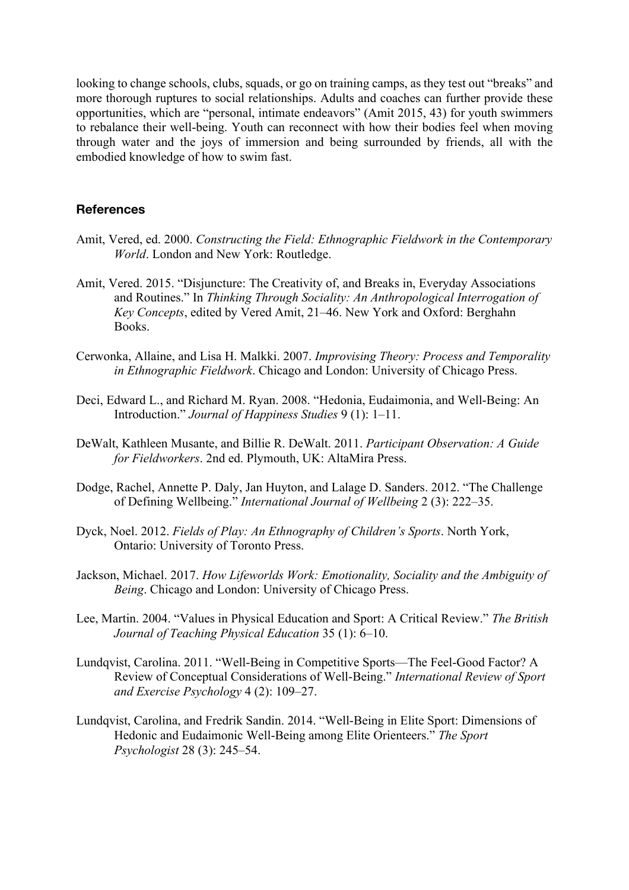looking to change schools, clubs, squads, or go on training camps, as they test out "breaks" and more thorough ruptures to social relationships. Adults and coaches can further provide these opportunities, which are "personal, intimate endeavors" (Amit 2015, 43) for youth swimmers to rebalance their well-being. Youth can reconnect with how their bodies feel when moving through water and the joys of immersion and being surrounded by friends, all with the embodied knowledge of how to swim fast.

#### **References**

- Amit, Vered, ed. 2000. *Constructing the Field: Ethnographic Fieldwork in the Contemporary World*. London and New York: Routledge.
- Amit, Vered. 2015. "Disjuncture: The Creativity of, and Breaks in, Everyday Associations and Routines." In *Thinking Through Sociality: An Anthropological Interrogation of Key Concepts*, edited by Vered Amit, 21–46. New York and Oxford: Berghahn Books.
- Cerwonka, Allaine, and Lisa H. Malkki. 2007. *Improvising Theory: Process and Temporality in Ethnographic Fieldwork*. Chicago and London: University of Chicago Press.
- Deci, Edward L., and Richard M. Ryan. 2008. "Hedonia, Eudaimonia, and Well-Being: An Introduction." *Journal of Happiness Studies* 9 (1): 1–11.
- DeWalt, Kathleen Musante, and Billie R. DeWalt. 2011. *Participant Observation: A Guide for Fieldworkers*. 2nd ed. Plymouth, UK: AltaMira Press.
- Dodge, Rachel, Annette P. Daly, Jan Huyton, and Lalage D. Sanders. 2012. "The Challenge of Defining Wellbeing." *International Journal of Wellbeing* 2 (3): 222–35.
- Dyck, Noel. 2012. *Fields of Play: An Ethnography of Children's Sports*. North York, Ontario: University of Toronto Press.
- Jackson, Michael. 2017. *How Lifeworlds Work: Emotionality, Sociality and the Ambiguity of Being*. Chicago and London: University of Chicago Press.
- Lee, Martin. 2004. "Values in Physical Education and Sport: A Critical Review." *The British Journal of Teaching Physical Education* 35 (1): 6–10.
- Lundqvist, Carolina. 2011. "Well-Being in Competitive Sports—The Feel-Good Factor? A Review of Conceptual Considerations of Well-Being." *International Review of Sport and Exercise Psychology* 4 (2): 109–27.
- Lundqvist, Carolina, and Fredrik Sandin. 2014. "Well-Being in Elite Sport: Dimensions of Hedonic and Eudaimonic Well-Being among Elite Orienteers." *The Sport Psychologist* 28 (3): 245–54.